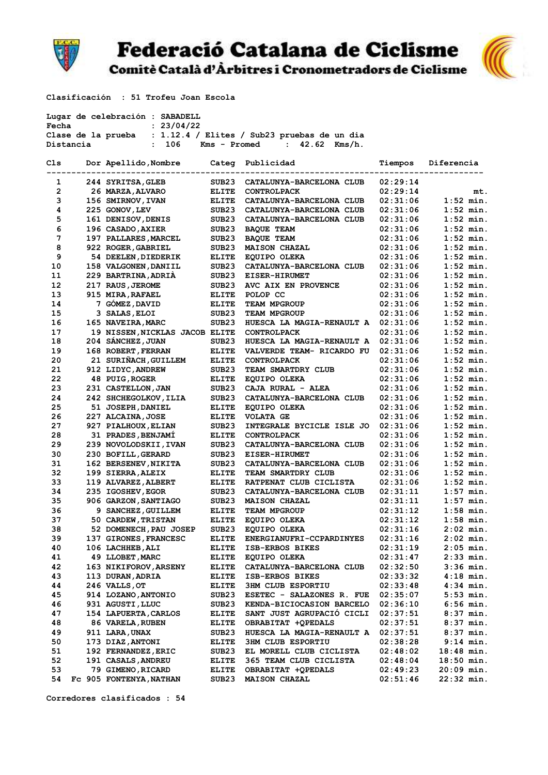

## **Federació Catalana de Ciclisme**

Comitè Català d'Àrbitres i Cronometradors de Ciclisme



Clasificación : 51 Trofeu Joan Escola

|              |           | Lugar de celebración : SABADELL       |                   |                                                                |          |              |
|--------------|-----------|---------------------------------------|-------------------|----------------------------------------------------------------|----------|--------------|
| Fecha        |           | : 23/04/22                            |                   |                                                                |          |              |
|              |           |                                       |                   | Clase de la prueba : 1.12.4 / Elites / Sub23 pruebas de un dia |          |              |
|              | Distancia | : 106                                 |                   | Kms - Promed<br>$: 42.62$ Kms/h.                               |          |              |
|              |           |                                       |                   |                                                                |          |              |
| Cls          |           | Dor Apellido, Nombre Categ Publicidad |                   |                                                                | Tiempos  | Diferencia   |
|              |           |                                       |                   |                                                                |          |              |
| 1            |           | 244 SYRITSA, GLEB                     | SUB23             | CATALUNYA-BARCELONA CLUB                                       | 02:29:14 |              |
| $\mathbf{2}$ |           | 26 MARZA, ALVARO                      | ELITE             | <b>CONTROLPACK</b>                                             | 02:29:14 | mt.          |
| 3            |           | 156 SMIRNOV, IVAN                     | ELITE             | CATALUNYA-BARCELONA CLUB                                       | 02:31:06 | $1:52$ min.  |
| 4            |           | 225 GONOV, LEV                        | SUB23             | CATALUNYA-BARCELONA CLUB                                       | 02:31:06 | $1:52$ min.  |
| 5            |           | 161 DENISOV, DENIS                    | SUB23             | CATALUNYA-BARCELONA CLUB                                       | 02:31:06 | $1:52$ min.  |
| 6            |           | 196 CASADO, AXIER                     | SUB23             | <b>BAOUE TEAM</b>                                              | 02:31:06 | $1:52$ min.  |
| 7            |           | 197 PALLARES, MARCEL                  | SUB23             | <b>BAQUE TEAM</b>                                              | 02:31:06 | $1:52$ min.  |
| 8            |           | 922 ROGER, GABRIEL                    | SUB23             | <b>MAISON CHAZAL</b>                                           | 02:31:06 | $1:52$ min.  |
| 9            |           | 54 DEELEN, DIEDERIK                   | <b>ELITE</b>      | <b>EQUIPO OLEKA</b>                                            | 02:31:06 | $1:52$ min.  |
| 10           |           | 158 VALGONEN, DANIIL                  | SUB23             | CATALUNYA-BARCELONA CLUB                                       | 02:31:06 | $1:52$ min.  |
| 11           |           | 229 BARTRINA, ADRIA                   | SUB23             | <b>EISER-HIRUMET</b>                                           | 02:31:06 | $1:52$ min.  |
| 12           |           | 217 RAUS, JEROME                      | SUB23             | AVC AIX EN PROVENCE                                            | 02:31:06 | $1:52$ min.  |
| 13           |           | 915 MIRA, RAFAEL                      | ELITE             | POLOP CC                                                       | 02:31:06 | $1:52$ min.  |
| 14           |           | 7 GÓMEZ, DAVID                        | <b>ELITE</b>      | <b>TEAM MPGROUP</b>                                            | 02:31:06 | $1:52$ min.  |
| 15           |           | 3 SALAS, ELOI                         | SUB <sub>23</sub> | TEAM MPGROUP                                                   | 02:31:06 | $1:52$ min.  |
| 16           |           | 165 NAVEIRA, MARC                     | SUB23             | HUESCA LA MAGIA-RENAULT A                                      | 02:31:06 | $1:52$ min.  |
| 17           |           | 19 NISSEN, NICKLAS JACOB ELITE        |                   | <b>CONTROLPACK</b>                                             | 02:31:06 | $1:52$ min.  |
| 18           |           | 204 SÁNCHEZ, JUAN                     | SUB23             | HUESCA LA MAGIA-RENAULT A                                      | 02:31:06 | $1:52$ min.  |
| 19           |           | 168 ROBERT, FERRAN                    | <b>ELITE</b>      | VALVERDE TEAM- RICARDO FU                                      | 02:31:06 | $1:52$ min.  |
| 20           |           | 21 SURIÑACH, GUILLEM                  | ELITE             | <b>CONTROLPACK</b>                                             | 02:31:06 | $1:52$ min.  |
| 21           |           | 912 LIDYC, ANDREW                     | SUB <sub>23</sub> | TEAM SMARTDRY CLUB                                             | 02:31:06 | $1:52$ min.  |
| 22           |           | 48 PUIG, ROGER                        | <b>ELITE</b>      | EQUIPO OLEKA                                                   | 02:31:06 | $1:52$ min.  |
| 23           |           | 231 CASTELLON, JAN                    | SUB23             | CAJA RURAL - ALEA                                              | 02:31:06 | $1:52$ min.  |
| 24           |           | 242 SHCHEGOLKOV, ILIA                 | SUB <sub>23</sub> | CATALUNYA-BARCELONA CLUB                                       | 02:31:06 | $1:52$ min.  |
| 25           |           | 51 JOSEPH, DANIEL                     | <b>ELITE</b>      | EQUIPO OLEKA                                                   | 02:31:06 | $1:52$ min.  |
| 26           |           | 227 ALCAINA, JOSE                     | ELITE             | <b>VOLATA GE</b>                                               | 02:31:06 | $1:52$ min.  |
| 27           |           | 927 PIALHOUX, ELIAN                   | SUB <sub>23</sub> | INTEGRALE BYCICLE ISLE JO                                      | 02:31:06 | $1:52$ min.  |
| 28           |           | 31 PRADES, BENJAMI                    | <b>ELITE</b>      | <b>CONTROLPACK</b>                                             | 02:31:06 | $1:52$ min.  |
| 29           |           |                                       |                   |                                                                |          | $1:52$ min.  |
| 30           |           | 239 NOVOLODSKII, IVAN                 | SUB23             | CATALUNYA-BARCELONA CLUB                                       | 02:31:06 | $1:52$ min.  |
|              |           | 230 BOFILL, GERARD                    | SUB23             | <b>EISER-HIRUMET</b>                                           | 02:31:06 |              |
| 31           |           | 162 BERSENEV, NIKITA                  | SUB23             | CATALUNYA-BARCELONA CLUB                                       | 02:31:06 | $1:52$ min.  |
| 32           |           | 199 SIERRA, ALEIX                     | ELITE             | TEAM SMARTDRY CLUB                                             | 02:31:06 | $1:52$ min.  |
| 33           |           | 119 ALVAREZ, ALBERT                   | ELITE             | RATPENAT CLUB CICLISTA                                         | 02:31:06 | $1:52$ min.  |
| 34           |           | 235 IGOSHEV, EGOR                     | SUB23             | CATALUNYA-BARCELONA CLUB                                       | 02:31:11 | $1:57$ min.  |
| 35           |           | 906 GARZON, SANTIAGO                  | SUB23             | <b>MAISON CHAZAL</b>                                           | 02:31:11 | $1:57$ min.  |
| 36           |           | 9 SANCHEZ, GUILLEM                    | <b>ELITE</b>      | TEAM MPGROUP                                                   | 02:31:12 | $1:58$ min.  |
| 37           |           | 50 CARDEW, TRISTAN                    | <b>ELITE</b>      | EQUIPO OLEKA                                                   | 02:31:12 | $1:58$ min.  |
| 38           |           | 52 DOMENECH, PAU JOSEP                | SUB23             | EQUIPO OLEKA                                                   | 02:31:16 | 2:02 min.    |
| 39           |           | 137 GIRONES, FRANCESC                 | <b>ELITE</b>      | ENERGIANUFRI-CCPARDINYES                                       | 02:31:16 | 2:02 min.    |
| 40           |           | 106 LACHHEB, ALI                      | <b>ELITE</b>      | ISB-ERBOS BIKES                                                | 02:31:19 | $2:05$ min.  |
| 41           |           | 49 LLOBET, MARC                       | <b>ELITE</b>      | <b>EQUIPO OLEKA</b>                                            | 02:31:47 | $2:33$ min.  |
| 42           |           | 163 NIKIFOROV, ARSENY                 | <b>ELITE</b>      | CATALUNYA-BARCELONA CLUB                                       | 02:32:50 | 3:36 min.    |
| 43           |           | 113 DURAN, ADRIA                      | <b>ELITE</b>      | ISB-ERBOS BIKES                                                | 02:33:32 | $4:18$ min.  |
| 44           |           | 246 VALLS, OT                         | <b>ELITE</b>      | <b>3HM CLUB ESPORTIU</b>                                       | 02:33:48 | 4:34 min.    |
| 45           |           | 914 LOZANO, ANTONIO                   | SUB23             | <b>ESETEC - SALAZONES R. FUE</b>                               | 02:35:07 | $5:53$ min.  |
| 46           |           | 931 AGUSTI, LLUC                      | SUB23             | KENDA-BICIOCASION BARCELO                                      | 02:36:10 | 6:56 min.    |
| 47           |           | 154 LAPUERTA, CARLOS                  | <b>ELITE</b>      | SANT JUST AGRUPACIÓ CICLI                                      | 02:37:51 | $8:37$ min.  |
| 48           |           | 86 VARELA, RUBEN                      | <b>ELITE</b>      | OBRABITAT +QPEDALS                                             | 02:37:51 | $8:37$ min.  |
| 49           |           | 911 LARA, UNAX                        | SUB23             | HUESCA LA MAGIA-RENAULT A                                      | 02:37:51 | $8:37$ min.  |
| 50           |           | 173 DIAZ, ANTONI                      | <b>ELITE</b>      | <b>3HM CLUB ESPORTIU</b>                                       | 02:38:28 | $9:14$ min.  |
| 51           |           | 192 FERNANDEZ, ERIC                   | SUB23             | EL MORELL CLUB CICLISTA                                        | 02:48:02 | $18:48$ min. |
| 52           |           | 191 CASALS, ANDREU                    | <b>ELITE</b>      | 365 TEAM CLUB CICLISTA                                         | 02:48:04 | $18:50$ min. |
| 53           |           | 79 GIMENO, RICARD                     | ELITE             | OBRABITAT +QPEDALS                                             | 02:49:23 | $20:09$ min. |
| 54           |           | FC 905 FONTENYA, NATHAN               | SUB23             | <b>MAISON CHAZAL</b>                                           | 02:51:46 | $22:32$ min. |

Corredores clasificados : 54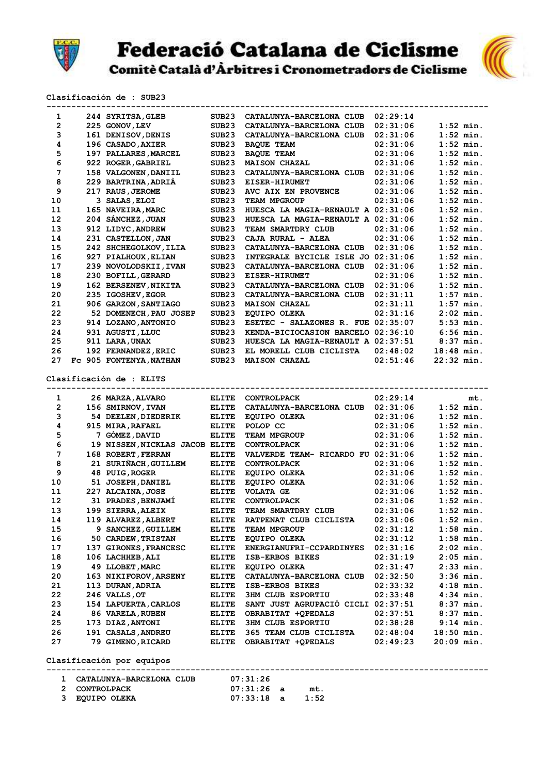



 Clasificación de : SUB23 ----------------------------------------------------------------------------------------- 1 244 SYRITSA,GLEB SUB23 CATALUNYA-BARCELONA CLUB 02:29:14 2 225 GONOV,LEV SUB23 CATALUNYA-BARCELONA CLUB 02:31:06 1:52 min. 3 161 DENISOV,DENIS SUB23 CATALUNYA-BARCELONA CLUB 02:31:06 1:52 min. 4 196 CASADO,AXIER SUB23 BAQUE TEAM 02:31:06 1:52 min. 5 197 PALLARES,MARCEL SUB23 BAQUE TEAM 02:31:06 1:52 min. 6 922 ROGER,GABRIEL SUB23 MAISON CHAZAL 02:31:06 1:52 min. 7 158 VALGONEN,DANIIL SUB23 CATALUNYA-BARCELONA CLUB 02:31:06 1:52 min. 8 229 BARTRINA,ADRIÀ SUB23 EISER-HIRUMET 02:31:06 1:52 min. 9 217 RAUS, JEROME SUB23 AVC AIX EN PROVENCE 02:31:06 1:52 min. 10 3 SALAS,ELOI SUB23 TEAM MPGROUP 02:31:06 1:52 min. 11 165 NAVEIRA,MARC SUB23 HUESCA LA MAGIA-RENAULT A 02:31:06 1:52 min. 12 204 SÁNCHEZ,JUAN SUB23 HUESCA LA MAGIA-RENAULT A 02:31:06 1:52 min. 13 912 LIDYC,ANDREW SUB23 TEAM SMARTDRY CLUB 02:31:06 1:52 min. 14 231 CASTELLON,JAN SUB23 CAJA RURAL - ALEA 02:31:06 1:52 min. 15 242 SHCHEGOLKOV,ILIA SUB23 CATALUNYA-BARCELONA CLUB 02:31:06 1:52 min. 16 927 PIALHOUX,ELIAN SUB23 INTEGRALE BYCICLE ISLE JO 02:31:06 1:52 min. 17 239 NOVOLODSKII,IVAN SUB23 CATALUNYA-BARCELONA CLUB 02:31:06 1:52 min. 18 230 BOFILL,GERARD SUB23 EISER-HIRUMET 02:31:06 1:52 min. 19 162 BERSENEV,NIKITA SUB23 CATALUNYA-BARCELONA CLUB 02:31:06 1:52 min. 20 235 IGOSHEV,EGOR SUB23 CATALUNYA-BARCELONA CLUB 02:31:11 1:57 min. 21 906 GARZON,SANTIAGO SUB23 MAISON CHAZAL 02:31:11 1:57 min. 22 52 DOMENECH,PAU JOSEP SUB23 EQUIPO OLEKA 02:31:16 2:02 min. 23 914 LOZANO,ANTONIO SUB23 ESETEC - SALAZONES R. FUE 02:35:07 5:53 min. 24 931 AGUSTI,LLUC SUB23 KENDA-BICIOCASION BARCELO 02:36:10 6:56 min. 25 911 LARA,UNAX SUB23 HUESCA LA MAGIA-RENAULT A 02:37:51 8:37 min. 26 192 FERNANDEZ,ERIC SUB23 EL MORELL CLUB CICLISTA 02:48:02 18:48 min. 27 Fc 905 FONTENYA,NATHAN SUB23 MAISON CHAZAL 02:51:46 22:32 min. Clasificación de : ELITS ----------------------------------------------------------------------------------------- 1 26 MARZA,ALVARO ELITE CONTROLPACK 02:29:14 mt. 2 156 SMIRNOV,IVAN ELITE CATALUNYA-BARCELONA CLUB 02:31:06 1:52 min. 3 54 DEELEN,DIEDERIK ELITE EQUIPO OLEKA 02:31:06 1:52 min. 4 915 MIRA,RAFAEL ELITE POLOP CC 02:31:06 1:52 min. 5 7 GÓMEZ,DAVID ELITE TEAM MPGROUP 02:31:06 1:52 min. 6 19 NISSEN,NICKLAS JACOB ELITE CONTROLPACK 02:31:06 1:52 min. 7 168 ROBERT,FERRAN ELITE VALVERDE TEAM- RICARDO FU 02:31:06 1:52 min. 8 21 SURIÑACH,GUILLEM ELITE CONTROLPACK 02:31:06 1:52 min. 9 48 PUIG,ROGER ELITE EQUIPO OLEKA 02:31:06 1:52 min. 10 51 JOSEPH,DANIEL ELITE EQUIPO OLEKA 02:31:06 1:52 min. 11 227 ALCAINA,JOSE ELITE VOLATA GE 02:31:06 1:52 min. 12 31 PRADES,BENJAMÍ ELITE CONTROLPACK 02:31:06 1:52 min. 13 199 SIERRA,ALEIX ELITE TEAM SMARTDRY CLUB 02:31:06 1:52 min. 14 119 ALVAREZ,ALBERT ELITE RATPENAT CLUB CICLISTA 02:31:06 1:52 min. 15 9 SANCHEZ,GUILLEM ELITE TEAM MPGROUP 02:31:12 1:58 min. 16 50 CARDEW,TRISTAN ELITE EQUIPO OLEKA 02:31:12 1:58 min. 17 137 GIRONES,FRANCESC ELITE ENERGIANUFRI-CCPARDINYES 02:31:16 2:02 min. 18 106 LACHHEB,ALI ELITE ISB-ERBOS BIKES 02:31:19 2:05 min. 19 49 LLOBET,MARC ELITE EQUIPO OLEKA 02:31:47 2:33 min. 20 163 NIKIFOROV,ARSENY ELITE CATALUNYA-BARCELONA CLUB 02:32:50 3:36 min. 21 113 DURAN,ADRIA ELITE ISB-ERBOS BIKES 02:33:32 4:18 min. 22 246 VALLS,OT ELITE 3HM CLUB ESPORTIU 02:33:48 4:34 min. 23 154 LAPUERTA,CARLOS ELITE SANT JUST AGRUPACIÓ CICLI 02:37:51 8:37 min. 24 86 VARELA,RUBEN ELITE OBRABITAT +QPEDALS 02:37:51 8:37 min. 25 173 DIAZ,ANTONI ELITE 3HM CLUB ESPORTIU 02:38:28 9:14 min. 26 191 CASALS,ANDREU ELITE 365 TEAM CLUB CICLISTA 02:48:04 18:50 min. 27 79 GIMENO,RICARD ELITE OBRABITAT +QPEDALS 02:49:23 20:09 min. Clasificación por equipos -----------------------------------------------------------------------------------------

 1 CATALUNYA-BARCELONA CLUB 07:31:26 2 CONTROLPACK 07:31:26 a mt. 3 EQUIPO OLEKA 07:33:18 a 1:52